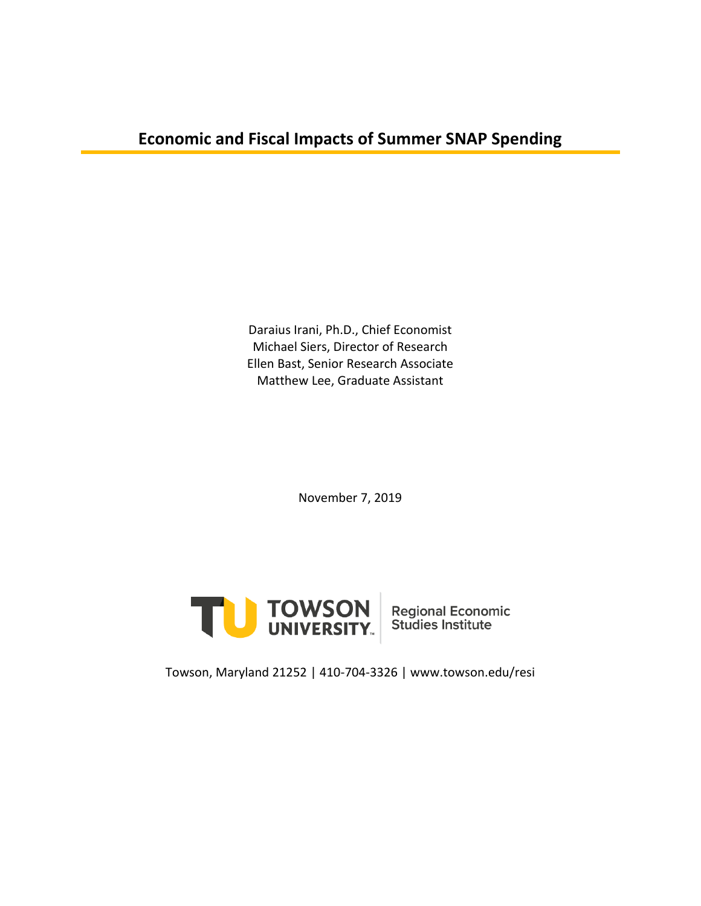## **Economic and Fiscal Impacts of Summer SNAP Spending**

Daraius Irani, Ph.D., Chief Economist Michael Siers, Director of Research Ellen Bast, Senior Research Associate Matthew Lee, Graduate Assistant

November 7, 2019



Towson, Maryland 21252 | 410-704-3326 | www.towson.edu/resi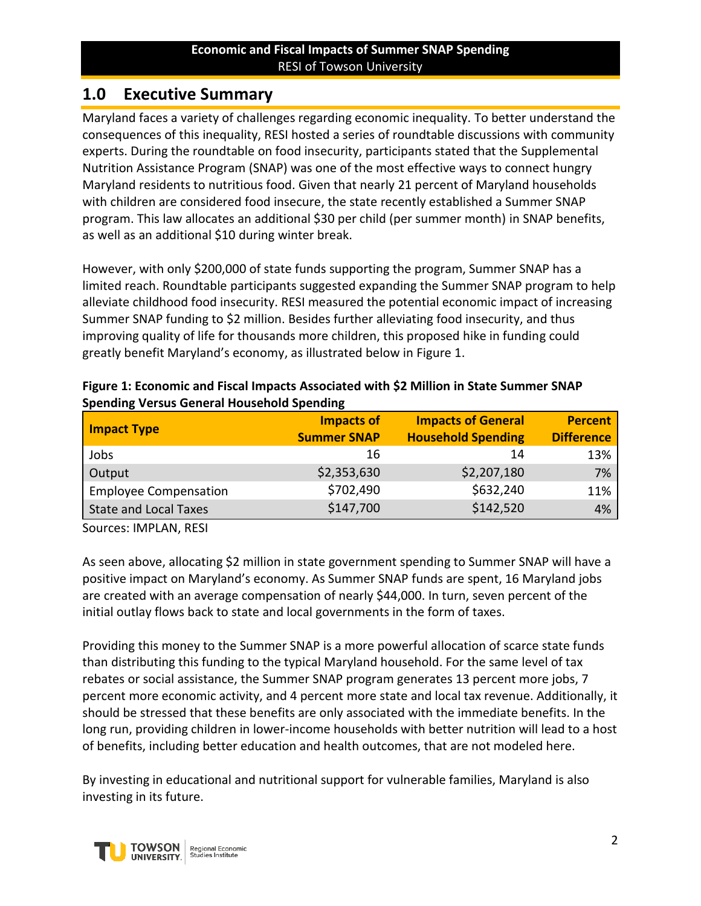## **1.0 Executive Summary**

Maryland faces a variety of challenges regarding economic inequality. To better understand the consequences of this inequality, RESI hosted a series of roundtable discussions with community experts. During the roundtable on food insecurity, participants stated that the Supplemental Nutrition Assistance Program (SNAP) was one of the most effective ways to connect hungry Maryland residents to nutritious food. Given that nearly 21 percent of Maryland households with children are considered food insecure, the state recently established a Summer SNAP program. This law allocates an additional \$30 per child (per summer month) in SNAP benefits, as well as an additional \$10 during winter break.

However, with only \$200,000 of state funds supporting the program, Summer SNAP has a limited reach. Roundtable participants suggested expanding the Summer SNAP program to help alleviate childhood food insecurity. RESI measured the potential economic impact of increasing Summer SNAP funding to \$2 million. Besides further alleviating food insecurity, and thus improving quality of life for thousands more children, this proposed hike in funding could greatly benefit Maryland's economy, as illustrated below in [Figure 1.](#page-1-0)

| <b>Impact Type</b>           | <b>Impacts of</b><br><b>Summer SNAP</b> | <b>Impacts of General</b><br><b>Household Spending</b> | <b>Percent</b><br><b>Difference</b> |
|------------------------------|-----------------------------------------|--------------------------------------------------------|-------------------------------------|
| Jobs                         | 16                                      | 14                                                     | 13%                                 |
| Output                       | \$2,353,630                             | \$2,207,180                                            | 7%                                  |
| <b>Employee Compensation</b> | \$702,490                               | \$632,240                                              | 11%                                 |
| <b>State and Local Taxes</b> | \$147,700                               | \$142,520                                              | 4%                                  |

<span id="page-1-0"></span>

| Figure 1: Economic and Fiscal Impacts Associated with \$2 Million in State Summer SNAP |
|----------------------------------------------------------------------------------------|
| <b>Spending Versus General Household Spending</b>                                      |

Sources: IMPLAN, RESI

As seen above, allocating \$2 million in state government spending to Summer SNAP will have a positive impact on Maryland's economy. As Summer SNAP funds are spent, 16 Maryland jobs are created with an average compensation of nearly \$44,000. In turn, seven percent of the initial outlay flows back to state and local governments in the form of taxes.

Providing this money to the Summer SNAP is a more powerful allocation of scarce state funds than distributing this funding to the typical Maryland household. For the same level of tax rebates or social assistance, the Summer SNAP program generates 13 percent more jobs, 7 percent more economic activity, and 4 percent more state and local tax revenue. Additionally, it should be stressed that these benefits are only associated with the immediate benefits. In the long run, providing children in lower-income households with better nutrition will lead to a host of benefits, including better education and health outcomes, that are not modeled here.

By investing in educational and nutritional support for vulnerable families, Maryland is also investing in its future.

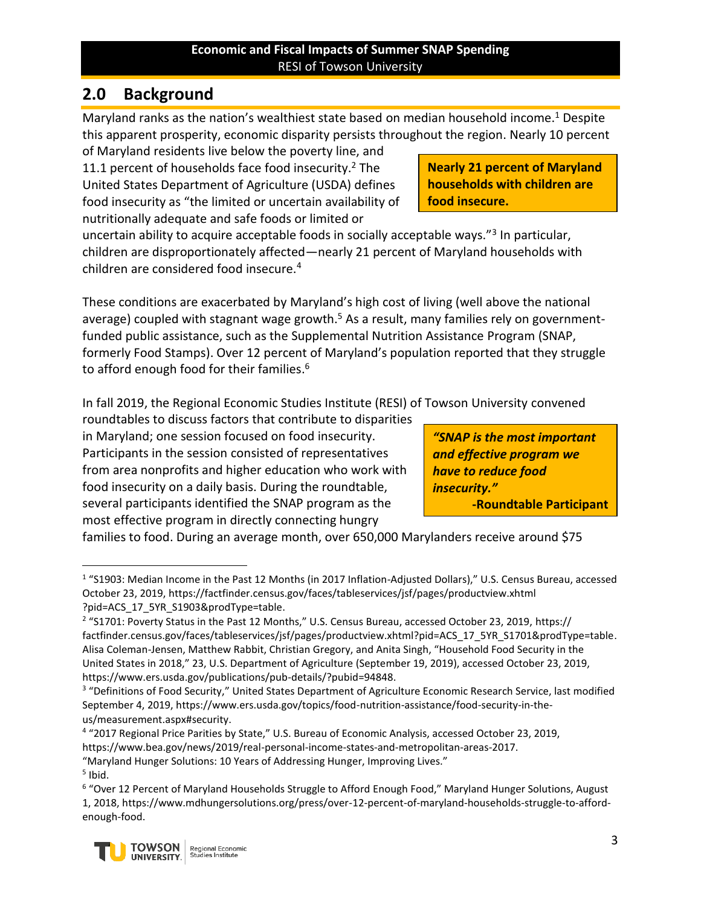# **2.0 Background**

Maryland ranks as the nation's wealthiest state based on median household income.<sup>1</sup> Despite this apparent prosperity, economic disparity persists throughout the region. Nearly 10 percent

of Maryland residents live below the poverty line, and 11.1 percent of households face food insecurity.<sup>2</sup> The United States Department of Agriculture (USDA) defines food insecurity as "the limited or uncertain availability of nutritionally adequate and safe foods or limited or

uncertain ability to acquire acceptable foods in socially acceptable ways."<sup>3</sup> In particular, children are disproportionately affected—nearly 21 percent of Maryland households with children are considered food insecure.<sup>4</sup>

These conditions are exacerbated by Maryland's high cost of living (well above the national average) coupled with stagnant wage growth.<sup>5</sup> As a result, many families rely on governmentfunded public assistance, such as the Supplemental Nutrition Assistance Program (SNAP, formerly Food Stamps). Over 12 percent of Maryland's population reported that they struggle to afford enough food for their families.<sup>6</sup>

In fall 2019, the Regional Economic Studies Institute (RESI) of Towson University convened

roundtables to discuss factors that contribute to disparities in Maryland; one session focused on food insecurity. Participants in the session consisted of representatives from area nonprofits and higher education who work with food insecurity on a daily basis. During the roundtable, several participants identified the SNAP program as the most effective program in directly connecting hungry

families to food. During an average month, over 650,000 Marylanders receive around \$75

 $\overline{a}$ 

<sup>6</sup> "Over 12 Percent of Maryland Households Struggle to Afford Enough Food," Maryland Hunger Solutions, August 1, 2018, https://www.mdhungersolutions.org/press/over-12-percent-of-maryland-households-struggle-to-affordenough-food.



**Nearly 21 percent of Maryland households with children are food insecure.**

*"SNAP is the most important and effective program we have to reduce food insecurity."* **-Roundtable Participant**

<sup>&</sup>lt;sup>1</sup> "S1903: Median Income in the Past 12 Months (in 2017 Inflation-Adjusted Dollars)," U.S. Census Bureau, accessed October 23, 2019, https://factfinder.census.gov/faces/tableservices/jsf/pages/productview.xhtml ?pid=ACS\_17\_5YR\_S1903&prodType=table.

<sup>&</sup>lt;sup>2</sup> "S1701: Poverty Status in the Past 12 Months," U.S. Census Bureau, accessed October 23, 2019, https:// factfinder.census.gov/faces/tableservices/jsf/pages/productview.xhtml?pid=ACS\_17\_5YR\_S1701&prodType=table. Alisa Coleman-Jensen, Matthew Rabbit, Christian Gregory, and Anita Singh, "Household Food Security in the United States in 2018," 23, U.S. Department of Agriculture (September 19, 2019), accessed October 23, 2019, https://www.ers.usda.gov/publications/pub-details/?pubid=94848.

<sup>&</sup>lt;sup>3</sup> "Definitions of Food Security," United States Department of Agriculture Economic Research Service, last modified September 4, 2019, https://www.ers.usda.gov/topics/food-nutrition-assistance/food-security-in-theus/measurement.aspx#security.

<sup>&</sup>lt;sup>4</sup> "2017 Regional Price Parities by State," U.S. Bureau of Economic Analysis, accessed October 23, 2019, https://www.bea.gov/news/2019/real-personal-income-states-and-metropolitan-areas-2017.

<sup>&</sup>quot;Maryland Hunger Solutions: 10 Years of Addressing Hunger, Improving Lives."

<sup>&</sup>lt;sup>5</sup> Ibid.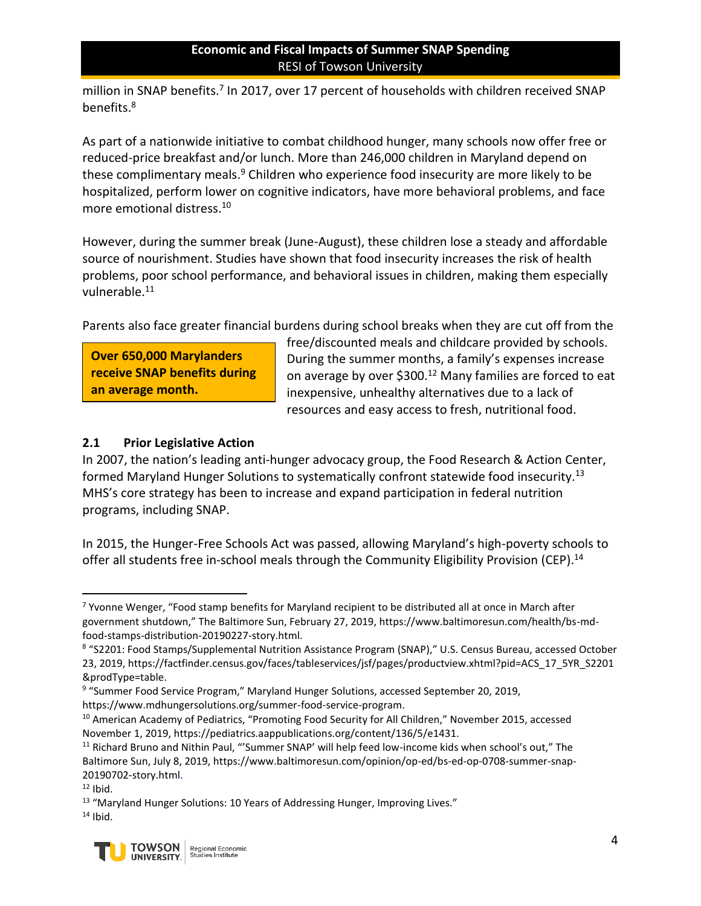million in SNAP benefits.<sup>7</sup> In 2017, over 17 percent of households with children received SNAP benefits.<sup>8</sup>

As part of a nationwide initiative to combat childhood hunger, many schools now offer free or reduced-price breakfast and/or lunch. More than 246,000 children in Maryland depend on these complimentary meals.<sup>9</sup> Children who experience food insecurity are more likely to be hospitalized, perform lower on cognitive indicators, have more behavioral problems, and face more emotional distress.<sup>10</sup>

However, during the summer break (June-August), these children lose a steady and affordable source of nourishment. Studies have shown that food insecurity increases the risk of health problems, poor school performance, and behavioral issues in children, making them especially vulnerable.<sup>11</sup>

Parents also face greater financial burdens during school breaks when they are cut off from the

**Over 650,000 Marylanders receive SNAP benefits during an average month.**

free/discounted meals and childcare provided by schools. During the summer months, a family's expenses increase on average by over \$300.<sup>12</sup> Many families are forced to eat inexpensive, unhealthy alternatives due to a lack of resources and easy access to fresh, nutritional food.

## **2.1 Prior Legislative Action**

In 2007, the nation's leading anti-hunger advocacy group, the Food Research & Action Center, formed Maryland Hunger Solutions to systematically confront statewide food insecurity.<sup>13</sup> MHS's core strategy has been to increase and expand participation in federal nutrition programs, including SNAP.

In 2015, the Hunger-Free Schools Act was passed, allowing Maryland's high-poverty schools to offer all students free in-school meals through the Community Eligibility Provision (CEP).<sup>14</sup>

 $14$  Ibid.



 $\overline{a}$  $7$  Yvonne Wenger, "Food stamp benefits for Maryland recipient to be distributed all at once in March after government shutdown," The Baltimore Sun, February 27, 2019, https://www.baltimoresun.com/health/bs-mdfood-stamps-distribution-20190227-story.html.

<sup>8</sup> "S2201: Food Stamps/Supplemental Nutrition Assistance Program (SNAP)," U.S. Census Bureau, accessed October 23, 2019, https://factfinder.census.gov/faces/tableservices/jsf/pages/productview.xhtml?pid=ACS\_17\_5YR\_S2201 &prodType=table.

<sup>&</sup>lt;sup>9</sup> "Summer Food Service Program," Maryland Hunger Solutions, accessed September 20, 2019, https://www.mdhungersolutions.org/summer-food-service-program.

<sup>&</sup>lt;sup>10</sup> American Academy of Pediatrics, "Promoting Food Security for All Children," November 2015, accessed November 1, 2019, https://pediatrics.aappublications.org/content/136/5/e1431.

<sup>&</sup>lt;sup>11</sup> Richard Bruno and Nithin Paul, "'Summer SNAP' will help feed low-income kids when school's out," The Baltimore Sun, July 8, 2019, https://www.baltimoresun.com/opinion/op-ed/bs-ed-op-0708-summer-snap-20190702-story.html.

 $12$  Ibid.

<sup>&</sup>lt;sup>13</sup> "Maryland Hunger Solutions: 10 Years of Addressing Hunger, Improving Lives."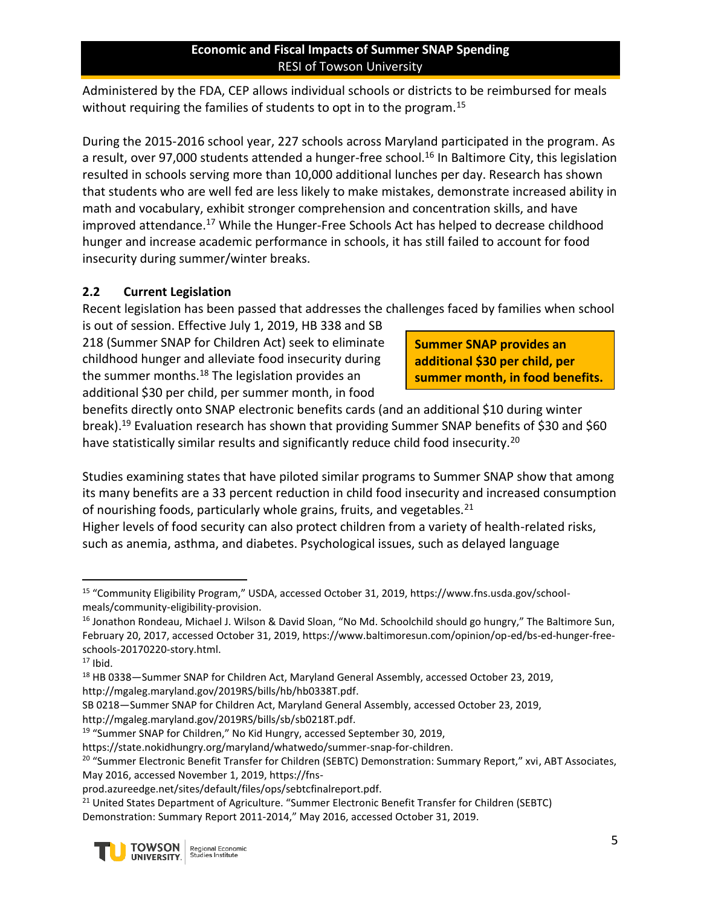Administered by the FDA, CEP allows individual schools or districts to be reimbursed for meals without requiring the families of students to opt in to the program.<sup>15</sup>

During the 2015-2016 school year, 227 schools across Maryland participated in the program. As a result, over 97,000 students attended a hunger-free school.<sup>16</sup> In Baltimore City, this legislation resulted in schools serving more than 10,000 additional lunches per day. Research has shown that students who are well fed are less likely to make mistakes, demonstrate increased ability in math and vocabulary, exhibit stronger comprehension and concentration skills, and have improved attendance.<sup>17</sup> While the Hunger-Free Schools Act has helped to decrease childhood hunger and increase academic performance in schools, it has still failed to account for food insecurity during summer/winter breaks.

## **2.2 Current Legislation**

Recent legislation has been passed that addresses the challenges faced by families when school

is out of session. Effective July 1, 2019, HB 338 and SB 218 (Summer SNAP for Children Act) seek to eliminate childhood hunger and alleviate food insecurity during the summer months. $18$  The legislation provides an additional \$30 per child, per summer month, in food

**Summer SNAP provides an additional \$30 per child, per summer month, in food benefits.**

benefits directly onto SNAP electronic benefits cards (and an additional \$10 during winter break).<sup>19</sup> Evaluation research has shown that providing Summer SNAP benefits of \$30 and \$60 have statistically similar results and significantly reduce child food insecurity.<sup>20</sup>

Studies examining states that have piloted similar programs to Summer SNAP show that among its many benefits are a 33 percent reduction in child food insecurity and increased consumption of nourishing foods, particularly whole grains, fruits, and vegetables.<sup>21</sup>

Higher levels of food security can also protect children from a variety of health-related risks, such as anemia, asthma, and diabetes. Psychological issues, such as delayed language

http://mgaleg.maryland.gov/2019RS/bills/sb/sb0218T.pdf.

<sup>&</sup>lt;sup>21</sup> United States Department of Agriculture. "Summer Electronic Benefit Transfer for Children (SEBTC) Demonstration: Summary Report 2011-2014," May 2016, accessed October 31, 2019.



 $\overline{a}$ <sup>15</sup> "Community Eligibility Program," USDA, accessed October 31, 2019, https://www.fns.usda.gov/schoolmeals/community-eligibility-provision.

<sup>&</sup>lt;sup>16</sup> Jonathon Rondeau, Michael J. Wilson & David Sloan, "No Md. Schoolchild should go hungry," The Baltimore Sun, February 20, 2017, accessed October 31, 2019, https://www.baltimoresun.com/opinion/op-ed/bs-ed-hunger-freeschools-20170220-story.html.

 $17$  Ibid.

<sup>&</sup>lt;sup>18</sup> HB 0338—Summer SNAP for Children Act, Maryland General Assembly, accessed October 23, 2019, http://mgaleg.maryland.gov/2019RS/bills/hb/hb0338T.pdf.

SB 0218—Summer SNAP for Children Act, Maryland General Assembly, accessed October 23, 2019,

<sup>&</sup>lt;sup>19</sup> "Summer SNAP for Children," No Kid Hungry, accessed September 30, 2019,

https://state.nokidhungry.org/maryland/whatwedo/summer-snap-for-children.

<sup>&</sup>lt;sup>20</sup> "Summer Electronic Benefit Transfer for Children (SEBTC) Demonstration: Summary Report," xvi, ABT Associates, May 2016, accessed November 1, 2019, https://fns-

prod.azureedge.net/sites/default/files/ops/sebtcfinalreport.pdf.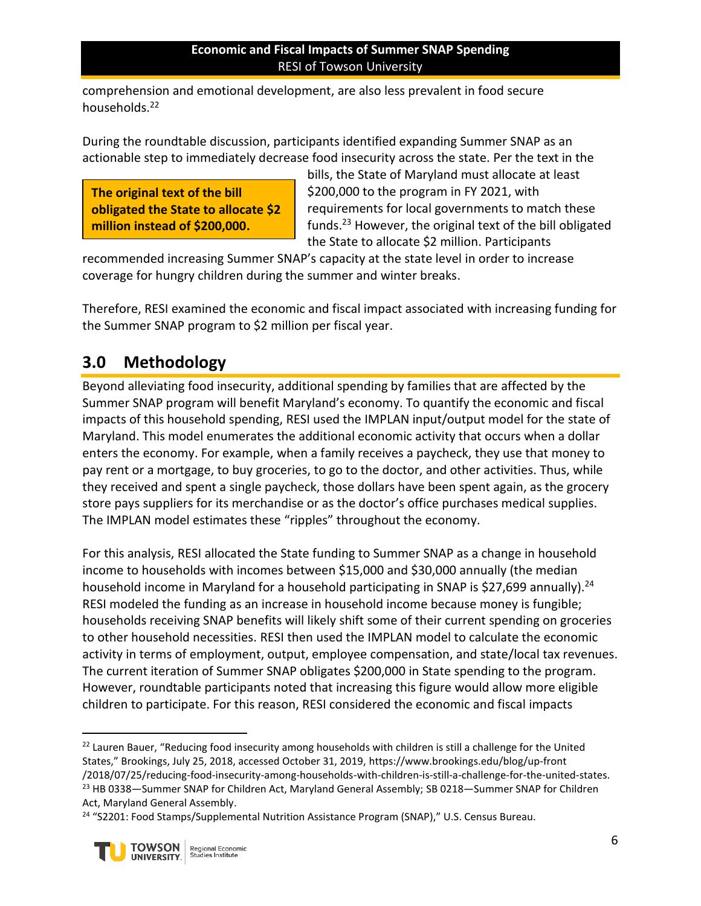comprehension and emotional development, are also less prevalent in food secure households.<sup>22</sup>

During the roundtable discussion, participants identified expanding Summer SNAP as an actionable step to immediately decrease food insecurity across the state. Per the text in the

**The original text of the bill obligated the State to allocate \$2 million instead of \$200,000.**

bills, the State of Maryland must allocate at least \$200,000 to the program in FY 2021, with requirements for local governments to match these funds.<sup>23</sup> However, the original text of the bill obligated the State to allocate \$2 million. Participants

recommended increasing Summer SNAP's capacity at the state level in order to increase coverage for hungry children during the summer and winter breaks.

Therefore, RESI examined the economic and fiscal impact associated with increasing funding for the Summer SNAP program to \$2 million per fiscal year.

# **3.0 Methodology**

Beyond alleviating food insecurity, additional spending by families that are affected by the Summer SNAP program will benefit Maryland's economy. To quantify the economic and fiscal impacts of this household spending, RESI used the IMPLAN input/output model for the state of Maryland. This model enumerates the additional economic activity that occurs when a dollar enters the economy. For example, when a family receives a paycheck, they use that money to pay rent or a mortgage, to buy groceries, to go to the doctor, and other activities. Thus, while they received and spent a single paycheck, those dollars have been spent again, as the grocery store pays suppliers for its merchandise or as the doctor's office purchases medical supplies. The IMPLAN model estimates these "ripples" throughout the economy.

For this analysis, RESI allocated the State funding to Summer SNAP as a change in household income to households with incomes between \$15,000 and \$30,000 annually (the median household income in Maryland for a household participating in SNAP is \$27,699 annually).<sup>24</sup> RESI modeled the funding as an increase in household income because money is fungible; households receiving SNAP benefits will likely shift some of their current spending on groceries to other household necessities. RESI then used the IMPLAN model to calculate the economic activity in terms of employment, output, employee compensation, and state/local tax revenues. The current iteration of Summer SNAP obligates \$200,000 in State spending to the program. However, roundtable participants noted that increasing this figure would allow more eligible children to participate. For this reason, RESI considered the economic and fiscal impacts

<sup>&</sup>lt;sup>24</sup> "S2201: Food Stamps/Supplemental Nutrition Assistance Program (SNAP)," U.S. Census Bureau.



 $\overline{a}$ 

<sup>&</sup>lt;sup>22</sup> Lauren Bauer, "Reducing food insecurity among households with children is still a challenge for the United States," Brookings, July 25, 2018, accessed October 31, 2019, https://www.brookings.edu/blog/up-front /2018/07/25/reducing-food-insecurity-among-households-with-children-is-still-a-challenge-for-the-united-states. <sup>23</sup> HB 0338-Summer SNAP for Children Act, Maryland General Assembly; SB 0218-Summer SNAP for Children Act, Maryland General Assembly.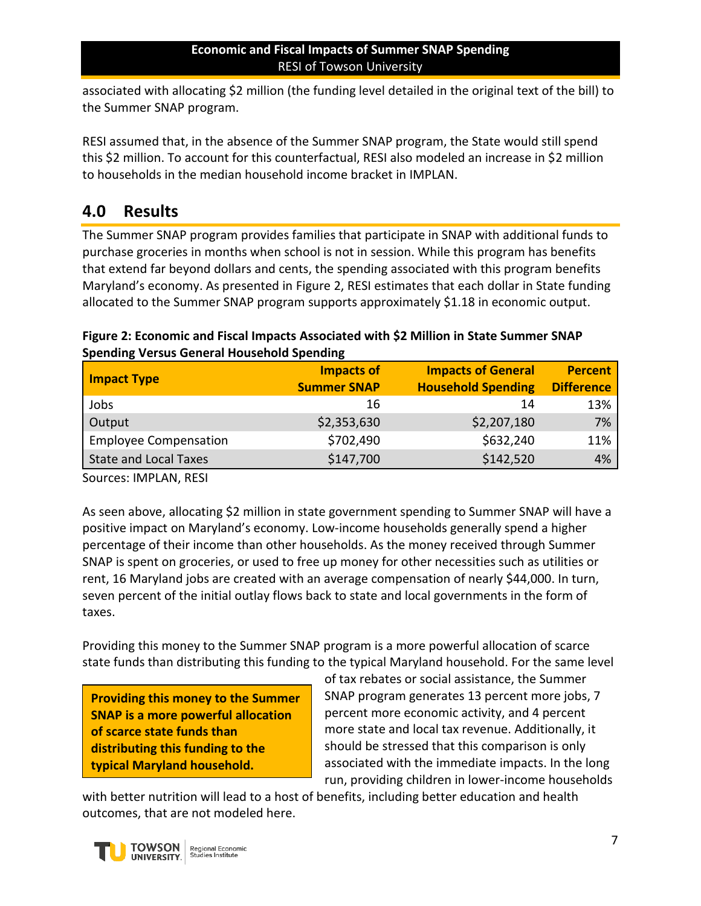associated with allocating \$2 million (the funding level detailed in the original text of the bill) to the Summer SNAP program.

RESI assumed that, in the absence of the Summer SNAP program, the State would still spend this \$2 million. To account for this counterfactual, RESI also modeled an increase in \$2 million to households in the median household income bracket in IMPLAN.

# **4.0 Results**

The Summer SNAP program provides families that participate in SNAP with additional funds to purchase groceries in months when school is not in session. While this program has benefits that extend far beyond dollars and cents, the spending associated with this program benefits Maryland's economy. As presented in [Figure 2,](#page-6-0) RESI estimates that each dollar in State funding allocated to the Summer SNAP program supports approximately \$1.18 in economic output.

## <span id="page-6-0"></span>**Figure 2: Economic and Fiscal Impacts Associated with \$2 Million in State Summer SNAP Spending Versus General Household Spending**

| <b>Impact Type</b>           | <b>Impacts of</b><br><b>Summer SNAP</b> | <b>Impacts of General</b><br><b>Household Spending</b> | <b>Percent</b><br><b>Difference</b> |
|------------------------------|-----------------------------------------|--------------------------------------------------------|-------------------------------------|
| Jobs                         | 16                                      | 14                                                     | 13%                                 |
| Output                       | \$2,353,630                             | \$2,207,180                                            | 7%                                  |
| <b>Employee Compensation</b> | \$702,490                               | \$632,240                                              | 11%                                 |
| <b>State and Local Taxes</b> | \$147,700                               | \$142,520                                              | 4%                                  |

Sources: IMPLAN, RESI

As seen above, allocating \$2 million in state government spending to Summer SNAP will have a positive impact on Maryland's economy. Low-income households generally spend a higher percentage of their income than other households. As the money received through Summer SNAP is spent on groceries, or used to free up money for other necessities such as utilities or rent, 16 Maryland jobs are created with an average compensation of nearly \$44,000. In turn, seven percent of the initial outlay flows back to state and local governments in the form of taxes.

Providing this money to the Summer SNAP program is a more powerful allocation of scarce state funds than distributing this funding to the typical Maryland household. For the same level

**Providing this money to the Summer SNAP is a more powerful allocation of scarce state funds than distributing this funding to the typical Maryland household.**

of tax rebates or social assistance, the Summer SNAP program generates 13 percent more jobs, 7 percent more economic activity, and 4 percent more state and local tax revenue. Additionally, it should be stressed that this comparison is only associated with the immediate impacts. In the long run, providing children in lower-income households

with better nutrition will lead to a host of benefits, including better education and health outcomes, that are not modeled here.

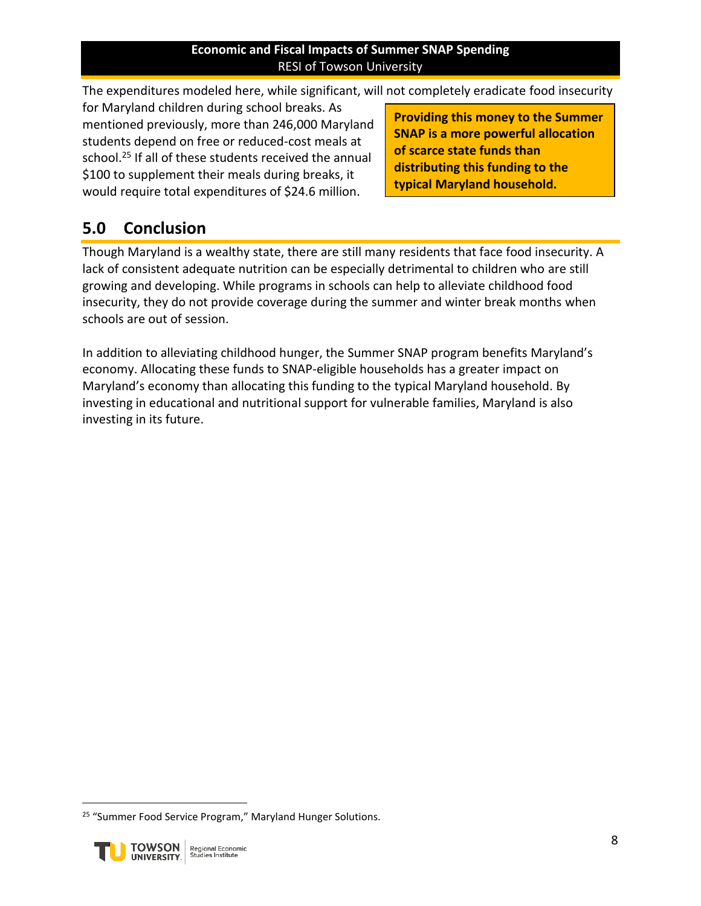The expenditures modeled here, while significant, will not completely eradicate food insecurity

for Maryland children during school breaks. As mentioned previously, more than 246,000 Maryland students depend on free or reduced-cost meals at school.<sup>25</sup> If all of these students received the annual \$100 to supplement their meals during breaks, it would require total expenditures of \$24.6 million.

**Providing this money to the Summer SNAP is a more powerful allocation of scarce state funds than distributing this funding to the typical Maryland household.**

# **5.0 Conclusion**

Though Maryland is a wealthy state, there are still many residents that face food insecurity. A lack of consistent adequate nutrition can be especially detrimental to children who are still growing and developing. While programs in schools can help to alleviate childhood food insecurity, they do not provide coverage during the summer and winter break months when schools are out of session.

In addition to alleviating childhood hunger, the Summer SNAP program benefits Maryland's economy. Allocating these funds to SNAP-eligible households has a greater impact on Maryland's economy than allocating this funding to the typical Maryland household. By investing in educational and nutritional support for vulnerable families, Maryland is also investing in its future.

<sup>&</sup>lt;sup>25</sup> "Summer Food Service Program," Maryland Hunger Solutions.



 $\overline{a}$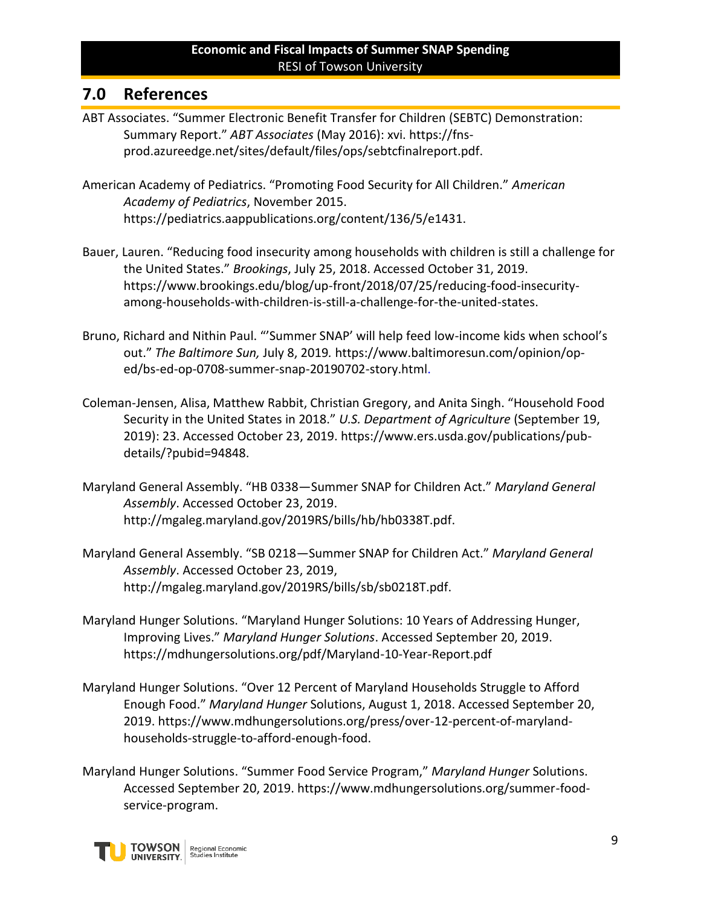# **7.0 References**

- ABT Associates. "Summer Electronic Benefit Transfer for Children (SEBTC) Demonstration: Summary Report." *ABT Associates* (May 2016): xvi. https://fnsprod.azureedge.net/sites/default/files/ops/sebtcfinalreport.pdf.
- American Academy of Pediatrics. "Promoting Food Security for All Children." *American Academy of Pediatrics*, November 2015. https://pediatrics.aappublications.org/content/136/5/e1431.
- Bauer, Lauren. "Reducing food insecurity among households with children is still a challenge for the United States." *Brookings*, July 25, 2018. Accessed October 31, 2019. https://www.brookings.edu/blog/up-front/2018/07/25/reducing-food-insecurityamong-households-with-children-is-still-a-challenge-for-the-united-states.
- Bruno, Richard and Nithin Paul. "'Summer SNAP' will help feed low-income kids when school's out." *The Baltimore Sun,* July 8, 2019*.* https://www.baltimoresun.com/opinion/oped/bs-ed-op-0708-summer-snap-20190702-story.html.
- Coleman-Jensen, Alisa, Matthew Rabbit, Christian Gregory, and Anita Singh. "Household Food Security in the United States in 2018." *U.S. Department of Agriculture* (September 19, 2019): 23. Accessed October 23, 2019. https://www.ers.usda.gov/publications/pubdetails/?pubid=94848.
- Maryland General Assembly. "HB 0338—Summer SNAP for Children Act." *Maryland General Assembly*. Accessed October 23, 2019. http://mgaleg.maryland.gov/2019RS/bills/hb/hb0338T.pdf.
- Maryland General Assembly. "SB 0218—Summer SNAP for Children Act." *Maryland General Assembly*. Accessed October 23, 2019, http://mgaleg.maryland.gov/2019RS/bills/sb/sb0218T.pdf.
- Maryland Hunger Solutions. "Maryland Hunger Solutions: 10 Years of Addressing Hunger, Improving Lives." *Maryland Hunger Solutions*. Accessed September 20, 2019. https://mdhungersolutions.org/pdf/Maryland-10-Year-Report.pdf
- Maryland Hunger Solutions. "Over 12 Percent of Maryland Households Struggle to Afford Enough Food." *Maryland Hunger* Solutions, August 1, 2018. Accessed September 20, 2019. https://www.mdhungersolutions.org/press/over-12-percent-of-marylandhouseholds-struggle-to-afford-enough-food.
- Maryland Hunger Solutions. "Summer Food Service Program," *Maryland Hunger* Solutions. Accessed September 20, 2019. https://www.mdhungersolutions.org/summer-foodservice-program.